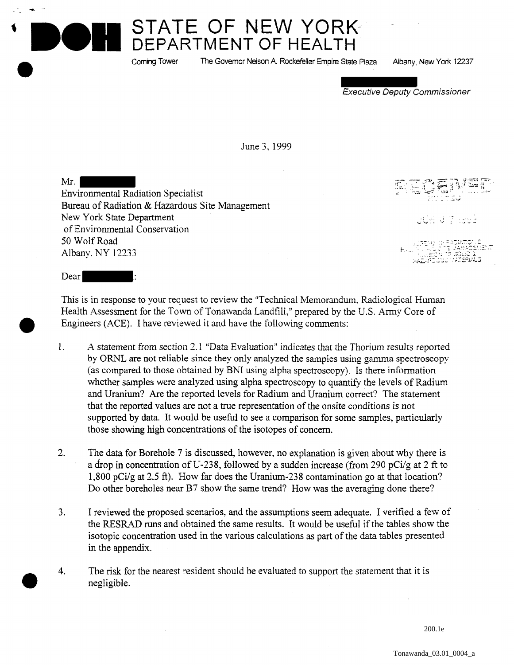**STATE OF NEW YORK-DEPARTMENT OF HEALTH** 

Coming Tower The Govemor Nelson A Rockefeller Empire State Plaza Albany, New York 12237

Executive Deputy Commissioner

June 3, 1999

Mr. Environmental Radiation Specialist Bureau of Radiation & Hazardous Site Management New York State Department of Environmental Conservation 50 Wolf Road Albany. NY 12233

 $\mathsf{J}\mathsf{U}\mathfrak{N}\,\,\mathsf{U}\,\,\mathfrak{I}$  is:

Dear

This is in response to your request to review the "Technical Memorandum, Radiological Human Health Assessment for the Town of Tonawanda Landfill," prepared by the U.S. Army Core of Engineers (ACE). I have reviewed it and have the following comments:

- 1. *A* statement from section 2.1 "Data Evaluation" indicates that the Thorium results reported by ORNL are not reliable since they only analyzed the samples using gamma spectroscopy (as compared to those obtained by BNI using alpha spectroscopy). Is there information whether samples were analyzed using alpha spectroscopy to quantify the levels of Radium and Uranium? Are the reported levels for Radium and Uranium correct? The statement that the reported values are not a true representation of the onsite conditions is not supported by data. It would be useful to see a comparison for some samples, particularly those showing high concentrations of the isotopes of concern.
- 2. The data for Borehole 7 is discussed, however, no explanation is given about why there is a drop in concentration of U-238, followed by a sudden increase (from 290 pCi/g at 2 ft to 1,800 pCi/g at 2.5 ft). How far does the Uranium-238 contamination go at that location? Do other boreholes near B7 show the same trend? How was the averaging done there?
- 3. I reviewed the proposed scenarios, and the assumptions seem adequate. I verified a few of the RESRAD runs and obtained the same results. It would be useful if the tables show the isotopic concentration used in the various calculations as part of the data tables presented in the appendix.
- 4. The risk for the nearest resident should be evaluated to support the statement that it is negligible.

200.1e